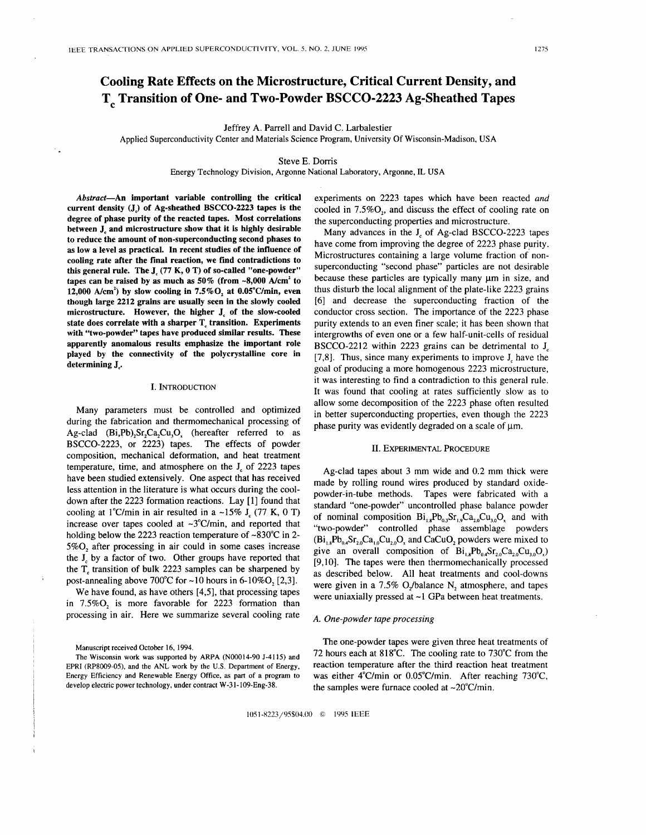# **Cooling Rate Effects on the Microstructure, Critical Current Density, and T**<sub>s</sub> Transition of One- and Two-Powder BSCCO-2223 Ag-Sheathed Tapes

Jeffrey A. Parrell and David C. Larbalestier

Applied Superconductivity Center and Materials Science Program, University Of Wisconsin-Madison, USA

# Steve **E.** Dorris

Energy Technology Division, Argonne National Laboratory, Argonne, **IL** USA

**Abstract-An important variable controlling the critical current density (J,) of Ag-sheathed BSCCO-2223 tapes is the degree of phase purity of the reacted tapes. Most correlations between J, and microstructure show that it is highly desirable to reduce the amount of non-superconducting second phases to as low a level as practical. In recent studies of the influence of cooling rate after the final reaction, we find contradictions to this general rule. The Jc (77 K, 0 T) of so-called "one-powder" tapes can be raised by as much as 50% (from -8,000 Ncm2 to 12,000 Ncm') by slow cooling in** *7.5%0,* **at O.OS°C/min, even though large 2212 grains are usually seen in the slowly cooled microstructure. However, the higher J, of the slow-cooled**  state does correlate with a sharper **T**<sub>c</sub> transition. Experiments **with "two-powder" tapes have produced similar results. These apparently anomalous results emphasize the important role played by the connectivity of the polycrystalline core in determining J,.** 

## **I. INTRODUCTION**

Many parameters must be controlled and optimized during the fabrication and thermomechanical processing of Ag-clad  $(Bi, Pb)$ <sub>2</sub>Sr<sub>2</sub>Ca<sub>2</sub>Cu<sub>3</sub>O<sub>x</sub> (hereafter referred to as BSCCO-2223, or 2223) tapes. The effects of powder composition, mechanical deformation, and heat treatment temperature, time, and atmosphere on the **J,** of 2223 tapes have been studied extensively. One aspect that has received less attention in the literature is what occurs during the cooldown after the 2223 formation reactions. Lay [1] found that cooling at 1<sup>°</sup>C/min in air resulted in a  $\sim$ 15% **J**<sub> $\sim$ </sub> (77 K, 0 T) increase over tapes cooled at  $\sim$ 3°C/min, and reported that holding below the 2223 reaction temperature of  $\sim 830^{\circ}$ C in 2-*5%0,* after processing in air could in some cases increase the **J,** by a factor of two. Other groups have reported that the  $T_c$  transition of bulk 2223 samples can be sharpened by post-annealing above 700°C for  $\sim$  10 hours in 6-10%O, [2,3].

We have found, as have others **[4,5],** that processing tapes in 7.5%0, is more favorable for 2223 formation than processing in air. Here we summarize several cooling rate

**Manuscript received October 16, 1994.** 

experiments on 2223 tapes which have been reacted *and*  cooled in 7.5%0,, and discuss the effect of cooling rate on the superconducting properties and microstructure.

Many advances in the **J**<sub>c</sub> of Ag-clad BSCCO-2223 tapes have come from improving the degree of 2223 phase purity. Microstructures containing a large volume fraction of nonsuperconducting "second phase" particles are not desirable because these particles are typically many  $\mu$ m in size, and thus disturb the local alignment of the plate-like 2223 grains [6] and decrease the superconducting fraction of the conductor cross section. The importance of the 2223 phase purity extends to an even finer scale; it has been shown that intergrowths of even one or a few half-unit-cells of residual BSCCO-2212 within 2223 grains can be detrimental to **J,**  [7,8]. Thus, since many experiments to improve **J,** have the goal of producing a more homogenous 2223 microstructure, it was interesting to find a contradiction to this general rule. It was found that cooling at rates sufficiently slow as to allow some decomposition of the 2223 phase often resulted in better superconducting properties, even though the 2223 phase purity was evidently degraded on a scale of  $\mu$ m.

## **11. EXPERIMENTAL PROCEDURE**

Ag-clad tapes about 3 mm wide and 0.2 mm thick were made by rolling round wires produced by standard oxidepowder-in-tube methods. Tapes were fabricated with a standard "one-powder" uncontrolled phase balance powder of nominal composition  $Bi_{18}Pb_{03}Sr_{19}Ca_{29}Cu_{30}O$ , and with "two-powder" controlled phase assemblage powders  $(Bi_{1},Pb_{04}Sr_{20}Ca_{10}Cu_{20}O_{x}$  and CaCuO, powders were mixed to give an overall composition of  $Bi_{1,s}Pb_{0,s}Sr_{2,0}Ca_{2,0}Cu_{3,0}O_x$ [9, IO]. The tapes were then thermomechanically processed as described below. All heat treatments and cool-downs were given in a 7.5% O<sub>f</sub>/balance N, atmosphere, and tapes were uniaxially pressed at  $\sim$ 1 GPa between heat treatments.

#### *A. One-powder tape processing*

The one-powder tapes were given three heat treatments of 72 hours each at 818°C. The cooling rate to 730°C from the reaction temperature after the third reaction heat treatment was either 4°C/min or 0.05°C/min. After reaching 730°C, the samples were furnace cooled at  $\sim$ 20°C/min.

1051-8223/95\$04.00 *0* 1995 IEEE

**The Wisconsin work was supported by ARPA (N00014-90 J-4115) and EPRI (RP8009-05), and the ANL work by the U.S. Department** of **Energy, Energy Efficiency and Renewable Energy Office, as part of a program to develop electric power technology, under contract W-31-109-Eng-38.**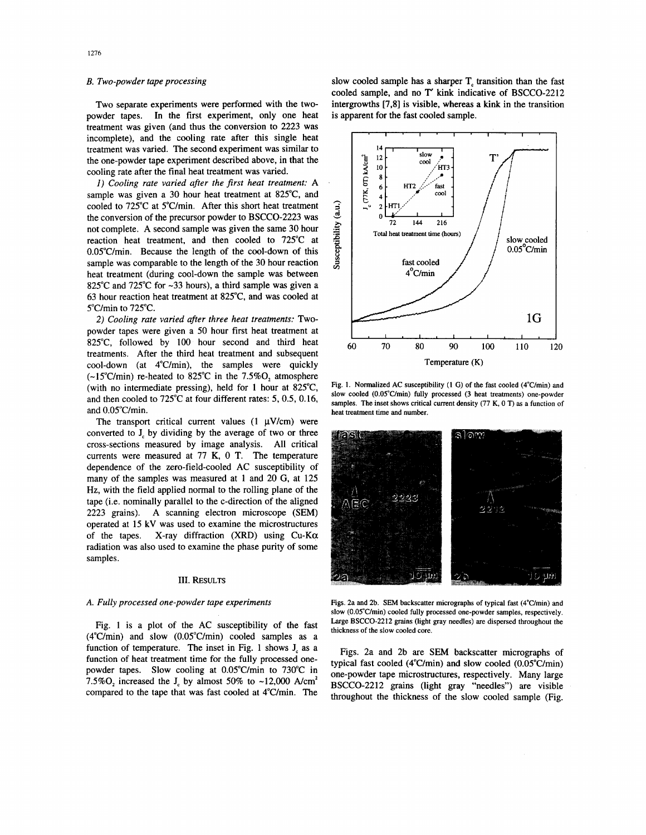# *B. Two-powder tape processing*

Two separate experiments were performed with the twopowder tapes. In the first experiment, only one heat treatment was given (and thus the conversion to 2223 was incomplete), and the cooling rate after this single heat treatment was varied. The second experiment was similar to the one-powder tape experiment described above, in that the cooling rate after the final heat treatment was varied.

*1) Cooling rate varied after the first heat treatment:* A sample was given a 30 hour heat treatment at 825"C, and cooled to 725°C at 5"C/min. After this short heat treatment the conversion of the precursor powder to BSCCO-2223 was not complete. A second sample was given the same 30 hour reaction heat treatment, and then cooled to 725°C at 0.05°C/min. Because the length of the cool-down of this sample was comparable to the length of the 30 hour reaction heat treatment (during cool-down the sample was between 825°C and 725°C for -33 hours), a third sample was given a 63 hour reaction heat treatment at 825"C, and was cooled at 5"C/min to 725°C.

*2) Cooling rate varied after three heat treatments:* Twopowder tapes were given a 50 hour first heat treatment at 825"C, followed by 100 hour second and third heat treatments. After the third heat treatment and subsequent cool-down (at 4"C/min), the samples were quickly  $(-15^{\circ}$ C/min) re-heated to 825 $^{\circ}$ C in the 7.5%O, atmosphere (with no intermediate pressing), held for 1 hour at 825°C and then cooled to 725°C at four different rates: *5,0.5,* 0.16, and O.OS"C/min.

The transport critical current values  $(1 \mu V/cm)$  were converted to **J,** by dividing by the average of two or three cross-sections measured by image analysis. All critical currents were measured at 77 K, 0 T. The temperature dependence of the zero-field-cooled AC susceptibility of many of the samples was measured at 1 and 20 G, at 125 **Hz,** with the field applied normal to the rolling plane of the tape (i.e. nominally parallel to the c-direction of the aligned 2223 grains). A scanning electron microscope (SEM) operated at 15 kV was used to examine the microstructures of the tapes. X-ray diffraction (XRD) using  $Cu-K\alpha$ radiation was also used to examine the phase purity of some samples.

#### **III. RESULTS**

#### *A. Fully processed one-powder tape experiments*

Fig. 1 is a plot of the AC susceptibility of the fast  $(4^{\circ}C/\text{min})$  and slow  $(0.05^{\circ}C/\text{min})$  cooled samples as a function of temperature. The inset in Fig. 1 shows **J,** as a function of heat treatment time for the fully processed onepowder tapes. Slow cooling at O.OS"C/min to 730°C in 7.5% $O_2$  increased the  $J_c$  by almost 50% to ~12,000 A/cm<sup>2</sup> compared to the tape that was fast cooled at 4"C/min. The slow cooled sample has a sharper **T,** transition than the fast cooled sample, and no **T** kink indicative of BSCCO-2212 intergrowths [7,8] is visible, whereas a kink in the transition is apparent for the fast cooled sample.



Fig. 1. Normalized AC susceptibility (1 G) of the fast cooled (4<sup>°</sup>C/min) and **slow cooled (O.OS"C/min) fully processed (3 heat treatments) one-powder samples. The inset shows critical current density (77 K,** 0 **T) as a function of heat treatment time and number.** 



Figs. 2a and 2b. SEM backscatter micrographs of typical fast (4°C/min) and **slow (O.OS"C/min) cooled fully processed one-powder samples, respectively. Large BSCCO-2212 grains (light gray needles) are dispersed throughout the thickness** of **the slow cooled core.** 

Figs. 2a and 2b are **SEM** backscatter micrographs of typical fast cooled (4"C/min) and slow cooled (O.OS"C/min) one-powder tape microstructures, respectively. Many large BSCCO-2212 grains (light gray "needles") are visible throughout the thickness of the slow cooled sample (Fig.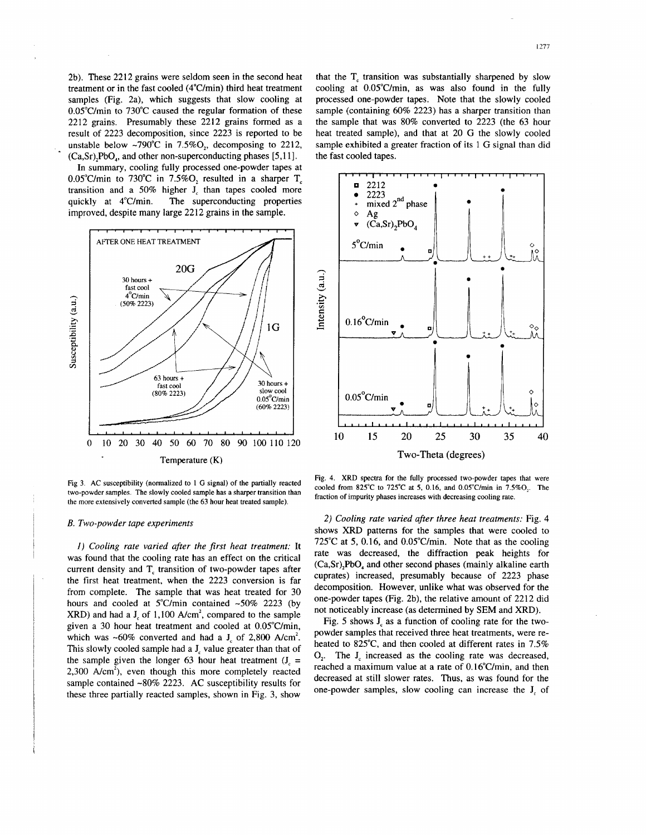2b). These 2212 grains were seldom seen in the second heat treatment or in the fast cooled  $(4^{\circ}C/\text{min})$  third heat treatment samples (Fig. 2a), which suggests that slow cooling at  $0.05^{\circ}$ C/min to 730 $^{\circ}$ C caused the regular formation of these 2212 grains. Presumably these 2212 grains formed as a result of 2223 decomposition, since 2223 is reported to be unstable below  $\sim 790^{\circ}$ C in 7.5%O, decomposing to 2212, (Ca,Sr),PbO,, and other non-superconducting phases [5,11].

**In** summary, cooling fully processed one-powder tapes at O.OS"C/min to 730°C in **7.5%0,** resulted in a sharper T, transition and a 50% higher **J,** than tapes cooled more quickly at 4"C/min. The superconducting properties improved, despite many large 2212 grains in the sample.



**Fig 3. AC susceptibility (normalized to 1** *G* **signal) of the partially reacted two-powder samples. The slowly cooled sample has a sharper transition than the more extensively converted sample (the 63 hour heat treated sample).** 

#### *B. Two-powder tape experiments*

*I) Cooling rate varied after the first heat treatment:* It was found that the cooling rate has an effect on the critical current density and  $T_c$  transition of two-powder tapes after the first heat treatment, when the 2223 conversion is far from complete. The sample that was heat treated for 30 hours and cooled at  $5^{\circ}$ C/min contained ~50% 2223 (by XRD) and had a **J,** of 1,100 A/cm2, compared to the sample given a 30 hour heat treatment and cooled at O.OS"C/min, which was  $\sim 60\%$  converted and had a **J**<sub>c</sub> of 2,800 A/cm<sup>2</sup>. This slowly cooled sample had a **J,** value greater than that of the sample given the longer 63 hour heat treatment  $(J_{\alpha} =$  $2,300$  A/cm<sup>2</sup>), even though this more completely reacted sample contained ~80% 2223. AC susceptibility results for these three partially reacted samples, shown in Fig. 3, show

that the T, transition **was** substantially sharpened by slow cooling at O.OS"C/min, as was also found in the fully processed one-powder tapes. Note that the slowly cooled sample (containing 60% 2223) has a sharper transition than the sample that was 80% converted to 2223 (the 63 hour heat treated sample), and that at 20 *G* the slowly cooled sample exhibited a greater fraction of its 1 *G* signal than did the fast cooled tapes.



**Fig. 4. XRD spectra for the fully processed two-powder tapes that were cooled from 825°C to 725°C** *at* **5, 0.16, and O.OS"C/min in 7.5%0,. The fraction of impurity phases increases with decreasing cooling rate.** 

*2) Cooling rate varied after three heat treatments:* Fig. 4 shows XRD patterns for the samples that were cooled to 725°C at 5, 0.16, and O.OS"C/min. Note that as the cooling rate was decreased, the diffraction peak heights for (Ca,Sr),PbO, and other second phases (mainly alkaline earth cuprates) increased, presumably because of 2223 phase decomposition. However, unlike what was observed for the one-powder tapes (Fig. 2b), the relative amount of 2212 did not noticeably increase (as determined by **SEM** and XRD).

[Fig. 5](#page-3-0) shows **J,** as a function of cooling rate for the twopowder samples that received three heat treatments, were reheated to 825°C, and then cooled at different rates in 7.5% *0,.* The **J,** increased as the cooling rate **was** decreased, reached a maximum value at a rate of 0.16'C/min, and then decreased at still slower rates. Thus, as was found for the one-powder samples, slow cooling can increase the **J,** of